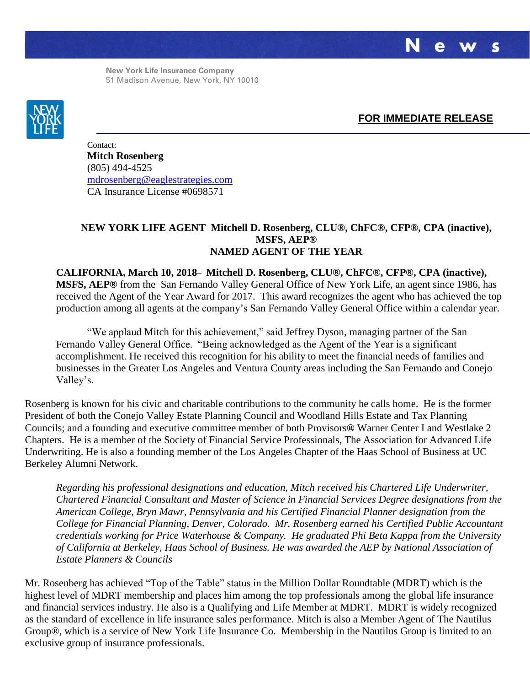S

**New York Life Insurance Company** 51 Madison Avenue, New York, NY 10010



## **FOR IMMEDIATE RELEASE**

Contact: **Mitch Rosenberg** (805) 494-4525 [mdrosenberg@eaglestrategies.com](mailto:mdrosenberg@eaglestrategies.com) CA Insurance License #0698571

## **NEW YORK LIFE AGENT Mitchell D. Rosenberg, CLU®, ChFC®, CFP®, CPA (inactive), MSFS, AEP® NAMED AGENT OF THE YEAR**

**CALIFORNIA, March 10, 2018– Mitchell D. Rosenberg, CLU®, ChFC®, CFP®, CPA (inactive), MSFS, AEP®** from the San Fernando Valley General Office of New York Life, an agent since 1986, has received the Agent of the Year Award for 2017. This award recognizes the agent who has achieved the top production among all agents at the company's San Fernando Valley General Office within a calendar year.

"We applaud Mitch for this achievement," said Jeffrey Dyson, managing partner of the San Fernando Valley General Office. "Being acknowledged as the Agent of the Year is a significant accomplishment. He received this recognition for his ability to meet the financial needs of families and businesses in the Greater Los Angeles and Ventura County areas including the San Fernando and Conejo Valley's.

Rosenberg is known for his civic and charitable contributions to the community he calls home. He is the former President of both the Conejo Valley Estate Planning Council and Woodland Hills Estate and Tax Planning Councils; and a founding and executive committee member of both Provisors**®** Warner Center I and Westlake 2 Chapters. He is a member of the Society of Financial Service Professionals, The Association for Advanced Life Underwriting. He is also a founding member of the Los Angeles Chapter of the Haas School of Business at UC Berkeley Alumni Network.

*Regarding his professional designations and education, Mitch received his Chartered Life Underwriter, Chartered Financial Consultant and Master of Science in Financial Services Degree designations from the American College, Bryn Mawr, Pennsylvania and his Certified Financial Planner designation from the College for Financial Planning, Denver, Colorado. Mr. Rosenberg earned his Certified Public Accountant credentials working for Price Waterhouse & Company. He graduated Phi Beta Kappa from the University of California at Berkeley, Haas School of Business. He was awarded the AEP by National Association of Estate Planners & Councils*

Mr. Rosenberg has achieved "Top of the Table" status in the Million Dollar Roundtable (MDRT) which is the highest level of MDRT membership and places him among the top professionals among the global life insurance and financial services industry. He also is a Qualifying and Life Member at MDRT. MDRT is widely recognized as the standard of excellence in life insurance sales performance. Mitch is also a Member Agent of The Nautilus Group®, which is a service of New York Life Insurance Co. Membership in the Nautilus Group is limited to an exclusive group of insurance professionals.